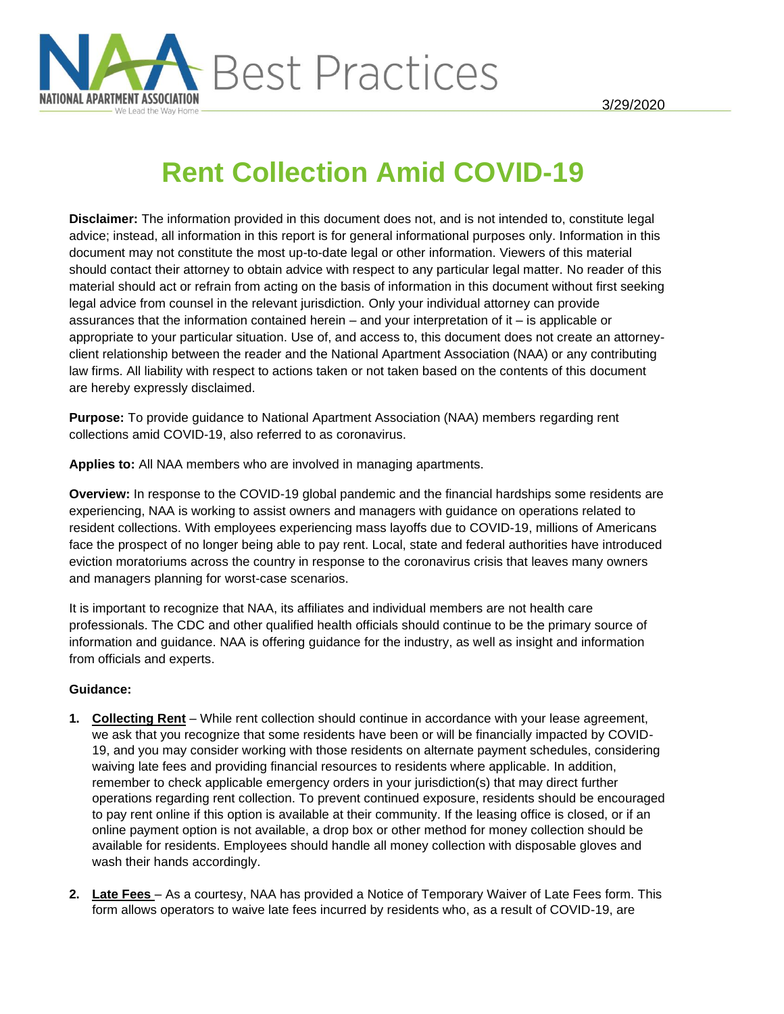

# **Rent Collection Amid COVID-19**

**Disclaimer:** The information provided in this document does not, and is not intended to, constitute legal advice; instead, all information in this report is for general informational purposes only. Information in this document may not constitute the most up-to-date legal or other information. Viewers of this material should contact their attorney to obtain advice with respect to any particular legal matter. No reader of this material should act or refrain from acting on the basis of information in this document without first seeking legal advice from counsel in the relevant jurisdiction. Only your individual attorney can provide assurances that the information contained herein – and your interpretation of it – is applicable or appropriate to your particular situation. Use of, and access to, this document does not create an attorneyclient relationship between the reader and the National Apartment Association (NAA) or any contributing law firms. All liability with respect to actions taken or not taken based on the contents of this document are hereby expressly disclaimed.

**Purpose:** To provide guidance to National Apartment Association (NAA) members regarding rent collections amid COVID-19, also referred to as coronavirus.

**Applies to:** All NAA members who are involved in managing apartments.

**Overview:** In response to the COVID-19 global pandemic and the financial hardships some residents are experiencing, NAA is working to assist owners and managers with guidance on operations related to resident collections. With employees experiencing mass layoffs due to COVID-19, millions of Americans face the prospect of no longer being able to pay rent. Local, state and federal authorities have introduced eviction moratoriums across the country in response to the coronavirus crisis that leaves many owners and managers planning for worst-case scenarios.

It is important to recognize that NAA, its affiliates and individual members are not health care professionals. The CDC and other qualified health officials should continue to be the primary source of information and guidance. NAA is offering [guidance](https://www.naahq.org/news-publications/guidance-dealing-coronavirus) for the industry, as well as insight and information from officials and experts.

# **Guidance:**

- **1. Collecting Rent** While rent collection should continue in accordance with your lease agreement, we ask that you recognize that some residents have been or will be financially impacted by COVID-19, and you may consider working with those residents on alternate payment schedules, considering waiving late fees and providing financial resources to residents where applicable. In addition, remember to check applicable emergency orders in your jurisdiction(s) that may direct further operations regarding rent collection. To prevent continued exposure, residents should be encouraged to pay rent online if this option is available at their community. If the leasing office is closed, or if an online payment option is not available, a drop box or other method for money collection should be available for residents. Employees should handle all money collection with disposable gloves and wash their hands accordingly.
- **2. Late Fees** As a courtesy, NAA has provided a Notice of Temporary Waiver of Late Fees form. This form allows operators to waive late fees incurred by residents who, as a result of COVID-19, are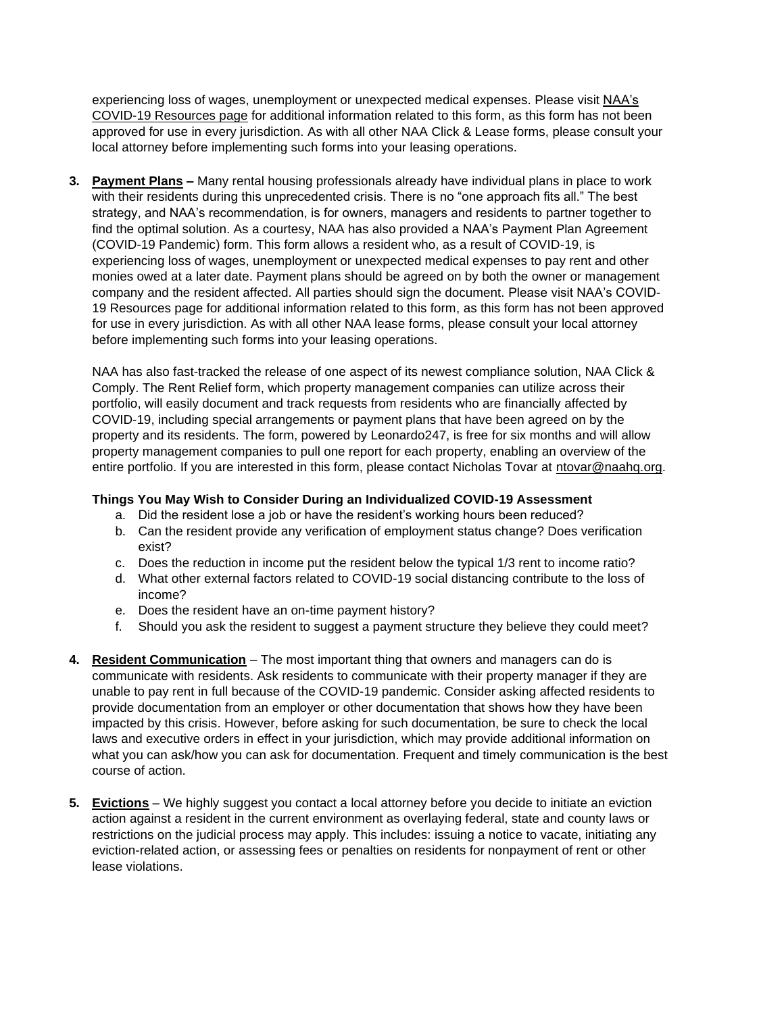experiencing loss of wages, unemployment or unexpected medical expenses. Please visit [NAA's](https://www.naahq.org/coronavirus-guidance)  [COVID-19 Resources page](https://www.naahq.org/coronavirus-guidance) for additional information related to this form, as this form has not been approved for use in every jurisdiction. As with all other NAA Click & Lease forms, please consult your local attorney before implementing such forms into your leasing operations.

**3. Payment Plans –** Many rental housing professionals already have individual plans in place to work with their residents during this unprecedented crisis. There is no "one approach fits all." The best strategy, and NAA's recommendation, is for owners, managers and residents to partner together to find the optimal solution. As a courtesy, NAA has also provided a NAA's Payment Plan Agreement (COVID-19 Pandemic) form. This form allows a resident who, as a result of COVID-19, is experiencing loss of wages, unemployment or unexpected medical expenses to pay rent and other monies owed at a later date. Payment plans should be agreed on by both the owner or management company and the resident affected. All parties should sign the document. Please visit NAA's COVID-19 Resources page for additional information related to this form, as this form has not been approved for use in every jurisdiction. As with all other NAA lease forms, please consult your local attorney before implementing such forms into your leasing operations.

NAA has also fast-tracked the release of one aspect of its newest compliance solution, NAA Click & Comply. The Rent Relief form, which property management companies can utilize across their portfolio, will easily document and track requests from residents who are financially affected by COVID-19, including special arrangements or payment plans that have been agreed on by the property and its residents. The form, powered by Leonardo247, is free for six months and will allow property management companies to pull one report for each property, enabling an overview of the entire portfolio. If you are interested in this form, please contact Nicholas Tovar at [ntovar@naahq.org.](mailto:ntovar@naahq.org)

# **Things You May Wish to Consider During an Individualized COVID-19 Assessment**

- a. Did the resident lose a job or have the resident's working hours been reduced?
- b. Can the resident provide any verification of employment status change? Does verification exist?
- c. Does the reduction in income put the resident below the typical 1/3 rent to income ratio?
- d. What other external factors related to COVID-19 social distancing contribute to the loss of income?
- e. Does the resident have an on-time payment history?
- f. Should you ask the resident to suggest a payment structure they believe they could meet?
- **4. Resident Communication** The most important thing that owners and managers can do is communicate with residents. Ask residents to communicate with their property manager if they are unable to pay rent in full because of the COVID-19 pandemic. Consider asking affected residents to provide documentation from an employer or other documentation that shows how they have been impacted by this crisis. However, before asking for such documentation, be sure to check the local laws and executive orders in effect in your jurisdiction, which may provide additional information on what you can ask/how you can ask for documentation. Frequent and timely communication is the best course of action.
- **5. Evictions** We highly suggest you contact a local attorney before you decide to initiate an eviction action against a resident in the current environment as overlaying federal, state and county laws or restrictions on the judicial process may apply. This includes: issuing a notice to vacate, initiating any eviction-related action, or assessing fees or penalties on residents for nonpayment of rent or other lease violations.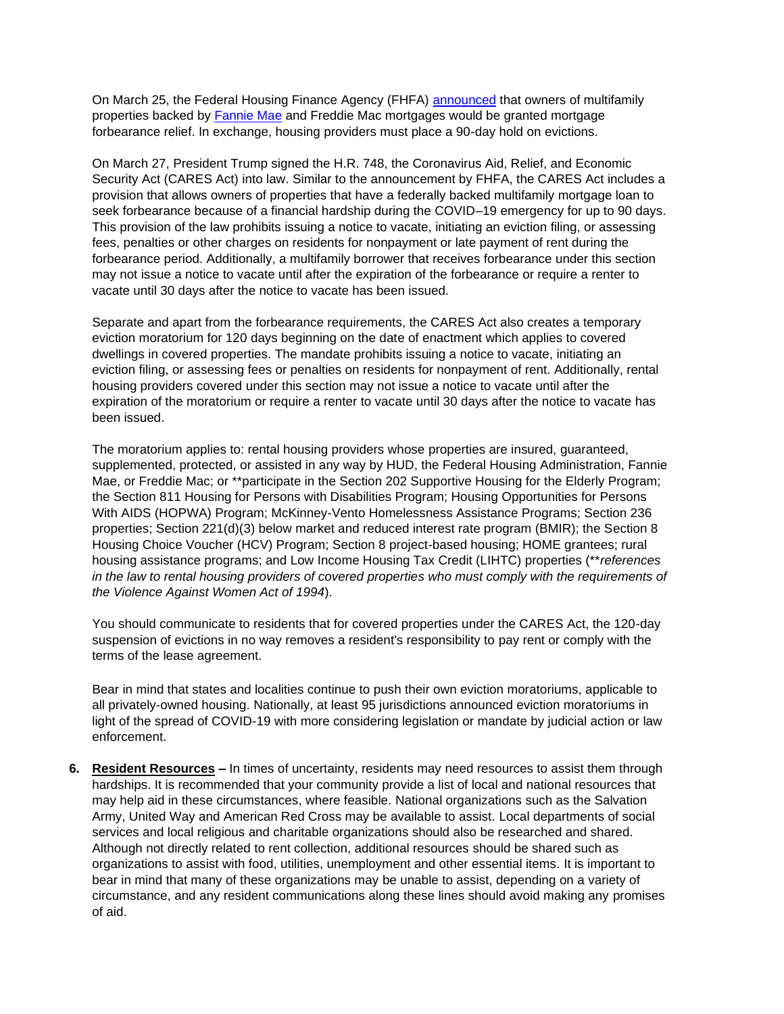On March 25, the Federal Housing Finance Agency (FHFA) [announced](https://www.naahq.org/news-publications/fhfa-offers-mortgage-relief-multifamily-housing-property-owners) that owners of multifamily properties backed by [Fannie Mae](https://www.fanniemae.com/portal/media/corporate-news/2020/renters-covid-19-multifamily-7002.html) and Freddie Mac mortgages would be granted mortgage forbearance relief. In exchange, housing providers must place a 90-day hold on evictions.

On March 27, President Trump signed the H.R. 748, the Coronavirus Aid, Relief, and Economic Security Act (CARES Act) into law. Similar to the announcement by FHFA, the CARES Act includes a provision that allows owners of properties that have a federally backed multifamily mortgage loan to seek forbearance because of a financial hardship during the COVID–19 emergency for up to 90 days. This provision of the law prohibits issuing a notice to vacate, initiating an eviction filing, or assessing fees, penalties or other charges on residents for nonpayment or late payment of rent during the forbearance period. Additionally, a multifamily borrower that receives forbearance under this section may not issue a notice to vacate until after the expiration of the forbearance or require a renter to vacate until 30 days after the notice to vacate has been issued.

Separate and apart from the forbearance requirements, the CARES Act also creates a temporary eviction moratorium for 120 days beginning on the date of enactment which applies to covered dwellings in covered properties. The mandate prohibits issuing a notice to vacate, initiating an eviction filing, or assessing fees or penalties on residents for nonpayment of rent. Additionally, rental housing providers covered under this section may not issue a notice to vacate until after the expiration of the moratorium or require a renter to vacate until 30 days after the notice to vacate has been issued.

The moratorium applies to: rental housing providers whose properties are insured, guaranteed, supplemented, protected, or assisted in any way by HUD, the Federal Housing Administration, Fannie Mae, or Freddie Mac; or \*\*participate in the Section 202 Supportive Housing for the Elderly Program; the Section 811 Housing for Persons with Disabilities Program; Housing Opportunities for Persons With AIDS (HOPWA) Program; McKinney-Vento Homelessness Assistance Programs; Section 236 properties; Section 221(d)(3) below market and reduced interest rate program (BMIR); the Section 8 Housing Choice Voucher (HCV) Program; Section 8 project-based housing; HOME grantees; rural housing assistance programs; and Low Income Housing Tax Credit (LIHTC) properties (\*\**references in the law to rental housing providers of covered properties who must comply with the requirements of the Violence Against Women Act of 1994*).

You should communicate to residents that for covered properties under the CARES Act, the 120-day suspension of evictions in no way removes a resident's responsibility to pay rent or comply with the terms of the lease agreement.

Bear in mind that states and localities continue to push their own eviction moratoriums, applicable to all privately-owned housing. Nationally, at least 95 jurisdictions announced eviction moratoriums in light of the spread of COVID-19 with more considering legislation or mandate by judicial action or law enforcement.

**6. Resident Resources –** In times of uncertainty, residents may need resources to assist them through hardships. It is recommended that your community provide a list of local and national resources that may help aid in these circumstances, where feasible. National organizations such as the Salvation Army, United Way and American Red Cross may be available to assist. Local departments of social services and local religious and charitable organizations should also be researched and shared. Although not directly related to rent collection, additional resources should be shared such as organizations to assist with food, utilities, unemployment and other essential items. It is important to bear in mind that many of these organizations may be unable to assist, depending on a variety of circumstance, and any resident communications along these lines should avoid making any promises of aid.